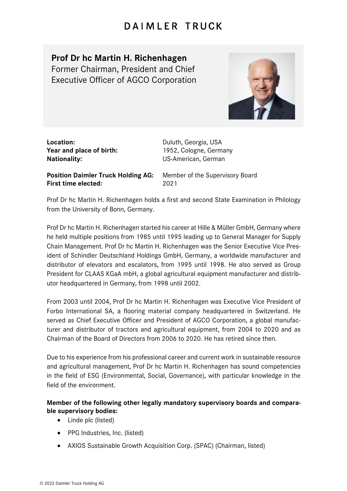## **DAIMLER TRUCK**

## **Prof Dr hc Martin H. Richenhagen**

Former Chairman, President and Chief Executive Officer of AGCO Corporation



| Location:                |
|--------------------------|
| Year and place of birth: |
| <b>Nationality:</b>      |

**Location:** Duluth, Georgia, USA 1952, Cologne, Germany **Nationality:** US-American, German

**Position Daimler Truck Holding AG:** Member of the Supervisory Board **First time elected:** 2021

Prof Dr hc Martin H. Richenhagen holds a first and second State Examination in Philology from the University of Bonn, Germany.

Prof Dr hc Martin H. Richenhagen started his career at Hille & Müller GmbH, Germany where he held multiple positions from 1985 until 1995 leading up to General Manager for Supply Chain Management. Prof Dr hc Martin H. Richenhagen was the Senior Executive Vice President of Schindler Deutschland Holdings GmbH, Germany, a worldwide manufacturer and distributor of elevators and escalators, from 1995 until 1998. He also served as Group President for CLAAS KGaA mbH, a global agricultural equipment manufacturer and distributor headquartered in Germany, from 1998 until 2002.

From 2003 until 2004, Prof Dr hc Martin H. Richenhagen was Executive Vice President of Forbo International SA, a flooring material company headquartered in Switzerland. He served as Chief Executive Officer and President of AGCO Corporation, a global manufacturer and distributor of tractors and agricultural equipment, from 2004 to 2020 and as Chairman of the Board of Directors from 2006 to 2020. He has retired since then.

Due to his experience from his professional career and current work in sustainable resource and agricultural management, Prof Dr hc Martin H. Richenhagen has sound competencies in the field of ESG (Environmental, Social, Governance), with particular knowledge in the field of the environment.

## **Member of the following other legally mandatory supervisory boards and comparable supervisory bodies:**

- Linde plc (listed)
- PPG Industries, Inc. (listed)
- AXIOS Sustainable Growth Acquisition Corp. (SPAC) (Chairman, listed)